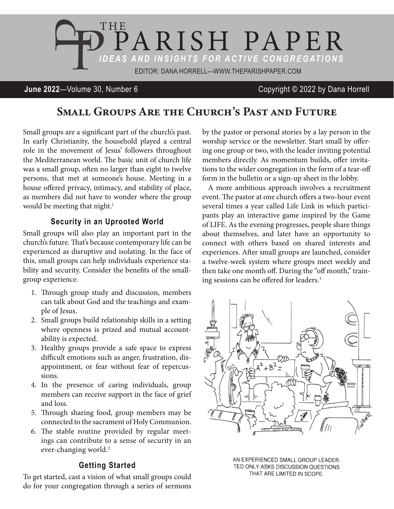

### **June 2022**—Volume 30, Number 6 Copyright © 2022 by Dana Horrell

# Small Groups Are the Church's Past and Future

Small groups are a significant part of the church's past. In early Christianity, the household played a central role in the movement of Jesus' followers throughout the Mediterranean world. The basic unit of church life was a small group, often no larger than eight to twelve persons, that met at someone's house. Meeting in a house offered privacy, intimacy, and stability of place, as members did not have to wonder where the group would be meeting that night.<sup>1</sup>

### **Security in an Uprooted World**

Small groups will also play an important part in the church's future. That's because contemporary life can be experienced as disruptive and isolating. In the face of this, small groups can help individuals experience stability and security. Consider the benefits of the smallgroup experience.

- 1. Through group study and discussion, members can talk about God and the teachings and example of Jesus.
- 2. Small groups build relationship skills in a setting where openness is prized and mutual accountability is expected.
- 3. Healthy groups provide a safe space to express difficult emotions such as anger, frustration, disappointment, or fear without fear of repercussions.
- 4. In the presence of caring individuals, group members can receive support in the face of grief and loss.
- 5. Through sharing food, group members may be connected to the sacrament of Holy Communion.
- 6. The stable routine provided by regular meetings can contribute to a sense of security in an ever-changing world.<sup>2</sup>

#### **Getting Started**

To get started, cast a vision of what small groups could do for your congregation through a series of sermons

by the pastor or personal stories by a lay person in the worship service or the newsletter. Start small by offering one group or two, with the leader inviting potential members directly. As momentum builds, offer invitations to the wider congregation in the form of a tear-off form in the bulletin or a sign-up sheet in the lobby.

A more ambitious approach involves a recruitment event. The pastor at one church offers a two-hour event several times a year called Life Link in which participants play an interactive game inspired by the Game of LIFE. As the evening progresses, people share things about themselves, and later have an opportunity to connect with others based on shared interests and experiences. After small groups are launched, consider a twelve-week system where groups meet weekly and then take one month off. During the "off month," training sessions can be offered for leaders.3



AN EXPERIENCED SMALL GROUP LEADER. TED ONLY ASKS DISCUSSION QUESTIONS THAT ARE LIMITED IN SCOPE.